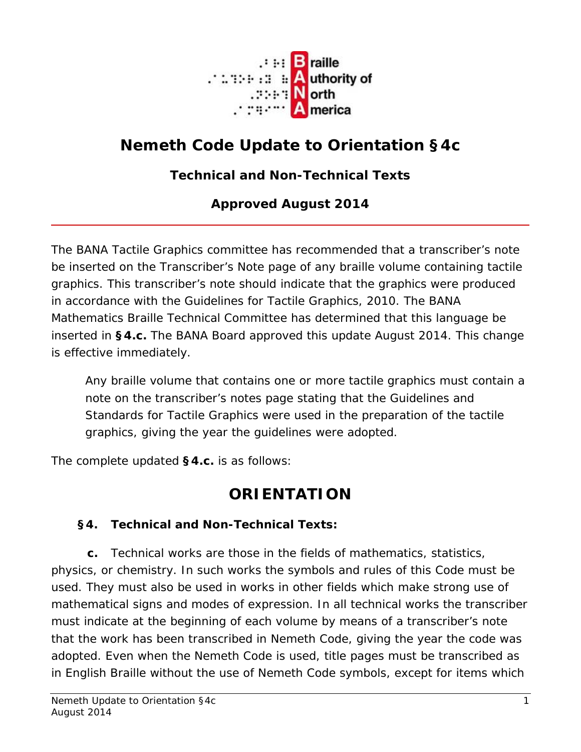

# **Nemeth Code Update to Orientation §4c**

### **Technical and Non-Technical Texts**

#### **Approved August 2014**

The BANA Tactile Graphics committee has recommended that a transcriber's note be inserted on the Transcriber's Note page of any braille volume containing tactile graphics. This transcriber's note should indicate that the graphics were produced in accordance with the *Guidelines for Tactile Graphics, 2010*. The BANA Mathematics Braille Technical Committee has determined that this language be inserted in **§4.c.** The BANA Board approved this update August 2014. This change is effective immediately.

Any braille volume that contains one or more tactile graphics must contain a note on the transcriber's notes page stating that the Guidelines and Standards for Tactile Graphics were used in the preparation of the tactile graphics, giving the year the guidelines were adopted.

The complete updated **§4.c.** is as follows:

## **ORIENTATION**

#### **§4. Technical and Non-Technical Texts:**

**c.** *Technical* works are those in the fields of mathematics, statistics, physics, or chemistry. In such works the symbols and rules of this Code must be used. They must also be used in works in other fields which make strong use of mathematical signs and modes of expression. In all technical works the transcriber must indicate at the beginning of each volume by means of a transcriber's note that the work has been transcribed in Nemeth Code, giving the year the code was adopted. Even when the Nemeth Code is used, title pages must be transcribed as in English Braille without the use of Nemeth Code symbols, except for items which